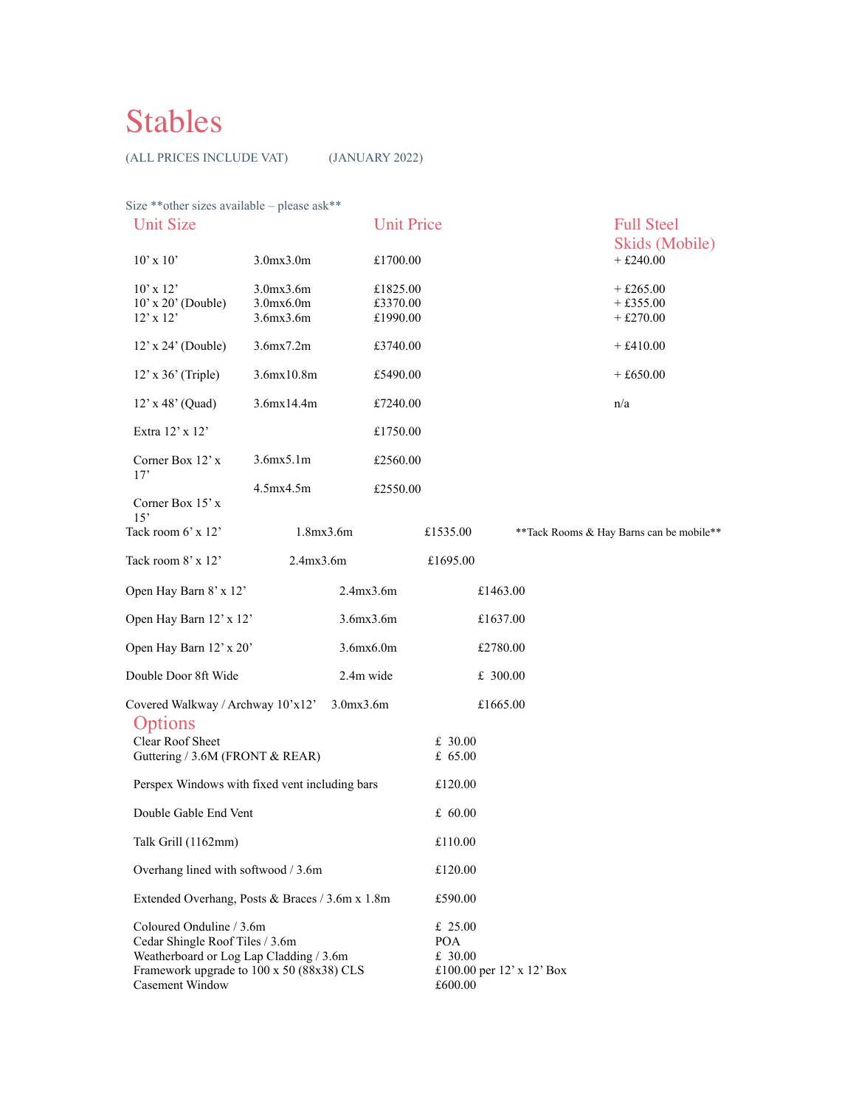## Stables

(ALL PRICES INCLUDE VAT) (JANUARY 2022)

| Size ** other sizes available - please ask**<br><b>Unit Size</b>                                                                                                       |                                             | <b>Unit Price</b>                |                                                                            |  | <b>Full Steel</b>                         |
|------------------------------------------------------------------------------------------------------------------------------------------------------------------------|---------------------------------------------|----------------------------------|----------------------------------------------------------------------------|--|-------------------------------------------|
| $10'$ x $10'$                                                                                                                                                          | 3.0mx3.0m                                   | £1700.00                         |                                                                            |  | Skids (Mobile)<br>$+£240.00$              |
| $10'$ x $12'$<br>$10'$ x $20'$ (Double)<br>$12'$ x $12'$                                                                                                               | 3.0mx3.6m<br>$3.0$ $mx6.0$ $m$<br>3.6mx3.6m | £1825.00<br>£3370.00<br>£1990.00 |                                                                            |  | $+ £265.00$<br>$+£355.00$<br>$+ £270.00$  |
| $12'$ x $24'$ (Double)                                                                                                                                                 | 3.6mx7.2m                                   | £3740.00                         |                                                                            |  | $+ £410.00$                               |
| $12'$ x 36' (Triple)                                                                                                                                                   | 3.6mx10.8m                                  | £5490.00                         |                                                                            |  | $+£650.00$                                |
| 12' x 48' (Quad)                                                                                                                                                       | 3.6mx14.4m                                  | £7240.00                         |                                                                            |  | n/a                                       |
| Extra 12' x 12'                                                                                                                                                        |                                             | £1750.00                         |                                                                            |  |                                           |
| Corner Box 12' x                                                                                                                                                       | 3.6mx5.1m                                   | £2560.00                         |                                                                            |  |                                           |
| 17'<br>Corner Box 15' x                                                                                                                                                | 4.5mx4.5m                                   | £2550.00                         |                                                                            |  |                                           |
| 15'<br>Tack room 6' x 12'                                                                                                                                              | 1.8mx3.6m                                   |                                  | £1535.00                                                                   |  | ** Tack Rooms & Hay Barns can be mobile** |
| Tack room 8' x 12'                                                                                                                                                     | 2.4mx3.6m                                   |                                  | £1695.00                                                                   |  |                                           |
| Open Hay Barn 8' x 12'                                                                                                                                                 |                                             | 2.4mx3.6m                        | £1463.00                                                                   |  |                                           |
| Open Hay Barn 12' x 12'                                                                                                                                                |                                             | 3.6mx3.6m                        | £1637.00                                                                   |  |                                           |
| Open Hay Barn 12' x 20'                                                                                                                                                |                                             | 3.6mx6.0m                        | £2780.00                                                                   |  |                                           |
| Double Door 8ft Wide<br>2.4m wide                                                                                                                                      |                                             |                                  | £ 300.00                                                                   |  |                                           |
| 3.0mx3.6m<br>Covered Walkway / Archway 10'x12'                                                                                                                         |                                             |                                  | £1665.00                                                                   |  |                                           |
| Options<br>Clear Roof Sheet<br>Guttering / 3.6M (FRONT & REAR)                                                                                                         |                                             |                                  | £ 30.00<br>£ 65.00                                                         |  |                                           |
| Perspex Windows with fixed vent including bars                                                                                                                         |                                             |                                  | £120.00                                                                    |  |                                           |
| Double Gable End Vent                                                                                                                                                  |                                             |                                  | £ $60.00$                                                                  |  |                                           |
| Talk Grill (1162mm)                                                                                                                                                    |                                             |                                  | £110.00                                                                    |  |                                           |
| Overhang lined with softwood / 3.6m                                                                                                                                    |                                             |                                  | £120.00                                                                    |  |                                           |
| Extended Overhang, Posts & Braces / 3.6m x 1.8m                                                                                                                        |                                             |                                  | £590.00                                                                    |  |                                           |
| Coloured Onduline / 3.6m<br>Cedar Shingle Roof Tiles / 3.6m<br>Weatherboard or Log Lap Cladding / 3.6m<br>Framework upgrade to 100 x 50 (88x38) CLS<br>Casement Window |                                             |                                  | £ $25.00$<br><b>POA</b><br>£ 30.00<br>£100.00 per 12' x 12' Box<br>£600.00 |  |                                           |